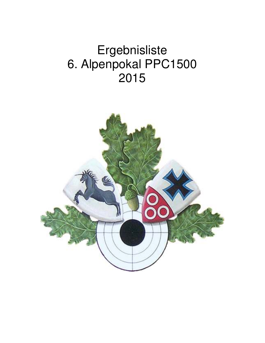# Ergebnisliste 6. Alpenpokal PPC1500 2015

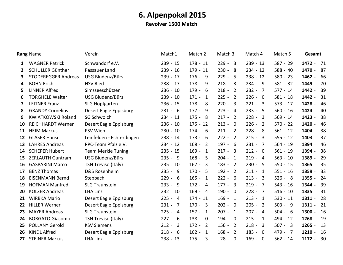**Revolver 1500 Match** 

|              | <b>Rang Name</b>           | Verein                    | Match1       | Match 2                   | Match 3                            | Match 4                            | Match 5    | Gesamt                                 |
|--------------|----------------------------|---------------------------|--------------|---------------------------|------------------------------------|------------------------------------|------------|----------------------------------------|
| 1            | <b>WAGNER Patrick</b>      | Schwandorf e.V.           | $239 - 15$   | $178 - 11$                | $229 - 3$                          | $239 - 13$                         | $587 - 29$ | 1472<br>- 71<br>$\blacksquare$         |
| $\mathbf{2}$ | SCHÜLLER Günther           | Passauer Land             | $239 - 16$   | $179 - 11$                | $230 - 8$                          | $234 - 12$                         | $588 - 40$ | 1470<br>87<br>$\blacksquare$           |
| 3            | <b>STODEREGGER Andreas</b> | USG Bludenz/Bürs          | $239 - 17$   | $176 - 9$                 | $229 -$<br>-5                      | $238 - 12$                         | $580 - 23$ | 1462<br>66<br>$\blacksquare$           |
| 4            | <b>BOHN Erich</b>          | <b>HSV Ried</b>           | $238 - 17$   | $178 - 9$                 | $218 - 3$                          | $234 - 9$                          | $581 - 32$ | 1449<br>70<br>$\blacksquare$           |
| 5            | <b>LINNER Alfred</b>       | Simsseeschützen           | $236 - 10$   | $179 - 6$                 | $218 - 2$                          | $232 -$<br>$\overline{7}$          | $577 - 14$ | 1442<br>39<br>$\blacksquare$           |
| 6            | <b>TORGHELE Walter</b>     | <b>USG Bludenz/Bürs</b>   | $239 - 10$   | $171 - 1$                 | $225 - 2$                          | $226 -$<br>$\overline{\mathbf{0}}$ | $581 - 18$ | 1442<br>31<br>$\sim$                   |
| 7            | <b>LEITNER Franz</b>       | <b>SLG Hopfgarten</b>     | $236 - 15$   | $178 - 8$                 | $220 - 3$                          | $221 -$<br>$\overline{\mathbf{3}}$ | $573 - 17$ | 1428<br>46<br>$\blacksquare$           |
| 8            | <b>GRANDY Cornelius</b>    | Desert Eagle Eppisburg    | $231 - 6$    | $177 - 9$                 | $223 - 4$                          | $233 -$<br>5                       | $560 - 16$ | 1424<br>40<br>$\blacksquare$           |
| 9            | <b>KWIATKOWSKI Roland</b>  | <b>SG Schwoich</b>        | $234 - 11$   | $175 - 8$                 | $217 - 2$                          | $228 -$<br>$\overline{3}$          | $569 - 14$ | 1423<br>38<br>$\blacksquare$           |
| 10           | <b>REICHHARDT Werner</b>   | Desert Eagle Eppisburg    | $236 - 10$   | $175 - 12$                | $213 - 0$                          | $226 -$<br>$\overline{2}$          | $570 - 22$ | 1420<br>46<br>$\blacksquare$           |
| 11           | <b>HEIM Markus</b>         | <b>PSV Wien</b>           | $230 - 10$   | $174 - 6$                 | $211 - 2$                          | $228 -$<br>- 8                     | $561 - 12$ | 1404<br>38<br>$\blacksquare$           |
| 12           | <b>GLASER Hansi</b>        | Leinfelden - Echterdingen | $238 - 14$   | $173 - 6$                 | $222 - 2$                          | $215 -$<br>3                       | $555 - 12$ | 1403<br>37<br>$\sim$                   |
| 13           | <b>LAHRES Andreas</b>      | PPC-Team Pfalz e.V.       | $234 - 12$   | $168 - 2$                 | $197 - 6$                          | $231 -$<br>$\overline{7}$          | $564 - 19$ | 1394<br>46<br>$\blacksquare$           |
| 14           | <b>SCHEPER Hubert</b>      | <b>Team Merkle Tuning</b> | $235 - 15$   | $169 -$<br>$\overline{1}$ | $217 -$<br>$\overline{\mathbf{3}}$ | $212 - 0$                          | $561 - 19$ | 1394<br>38                             |
| 15           | <b>ZERLAUTH Guntram</b>    | USG Bludenz/Bürs          | $235 - 9$    | $168 - 5$                 | $204 - 1$                          | $219 -$<br>$\overline{4}$          | $563 - 10$ | 1389<br>29<br>$\overline{a}$           |
| 16           | <b>GASPARINI Marco</b>     | TSN Treviso (Italy)       | $235 - 10$   | $167 - 3$                 | $183 - 2$                          | $230 -$<br>5                       | $550 - 15$ | 35<br>1365<br>$\blacksquare$           |
| 17           | <b>BENZ Thomas</b>         | D&S Rosenheim             | $235 - 9$    | $170 - 5$                 | $192 - 2$                          | $211 -$<br>$\overline{1}$          | $551 - 16$ | 33<br>1359                             |
| 18           | <b>EISENMANN Bernd</b>     | Stebbach                  | $229 - 6$    | $165 - 1$                 | $222 - 6$                          | $213 -$<br>3                       | $526 - 8$  | 1355<br>24<br>$\blacksquare$           |
| 19           | <b>HOFMAN Manfred</b>      | <b>SLG Traunstein</b>     | $233 - 9$    | $172 - 4$                 | $177 - 3$                          | $219 -$<br>$\overline{7}$          | $543 - 16$ | 39<br>1344<br>$\blacksquare$           |
| 20           | <b>KOLZER Andreas</b>      | <b>LHA Linz</b>           | $232 - 10$   | $169 - 4$                 | $190 - 0$                          | $228 -$<br>$\overline{7}$          | $516 - 10$ | 1335<br>31                             |
| 21           | <b>WIRBKA Mario</b>        | Desert Eagle Eppisburg    | $225 - 4$    | $174 - 11$                | $169 - 1$                          | $213 -$<br>$\overline{1}$          | $530 - 11$ | 1311<br>28<br>$\overline{\phantom{a}}$ |
| 22           | <b>HILLER Werner</b>       | Desert Eagle Eppisburg    | $231 - 7$    | $170 - 3$                 | $202 - 0$                          | $205 -$<br>$\overline{2}$          | $503 - 9$  | 21<br>1311<br>$\blacksquare$           |
| 23           | <b>MAYER Andreas</b>       | <b>SLG Traunstein</b>     | $225 - 4$    | $157 - 1$                 | $207 - 1$                          | $207 -$<br>$\overline{4}$          | $504 - 6$  | 1300<br>16<br>$\sim$                   |
| 24           | <b>BORGATO Giacomo</b>     | TSN Treviso (Italy)       | $227 - 6$    | $138 - 0$                 | $194 - 0$                          | $215 -$<br>-1                      | $494 - 12$ | 1268<br>19<br>$\blacksquare$           |
| 25           | <b>POLLANY Gerold</b>      | <b>KSV Siemens</b>        | $212 -$<br>3 | $172 - 2$                 | $156 - 2$                          | $218 -$<br>3                       | $507 - 3$  | 1265<br>13<br>$\sim$                   |
| 26           | <b>KINDL Alfred</b>        | Desert Eagle Eppisburg    | $218 - 6$    | $162 - 1$                 | $168 -$<br>$\overline{2}$          | $183 -$<br>$\Omega$                | $479 - 7$  | 1210<br>16<br>$\sim$                   |
| 27           | <b>STEINER Markus</b>      | <b>LHA Linz</b>           | $238 - 13$   | $175 - 3$                 | $28 -$<br>$\overline{0}$           | $169 -$<br>$\mathbf 0$             | $562 - 14$ | 1172<br>30<br>$\sim$                   |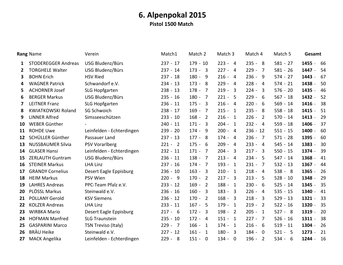### 6. Alpenpokal 2015 Pistol 1500 Match

|              | Rang Name                  | Verein                    | Match1     | Match 2                               | Match 3                   | Match 4                            | Match 5    | Gesamt                       |
|--------------|----------------------------|---------------------------|------------|---------------------------------------|---------------------------|------------------------------------|------------|------------------------------|
| 1            | <b>STODEREGGER Andreas</b> | USG Bludenz/Bürs          | $237 - 17$ | $179 - 10$                            | $223 - 4$                 | $235 - 8$                          | $581 - 27$ | 1455<br>66<br>$\blacksquare$ |
| $\mathbf{2}$ | <b>TORGHELE Walter</b>     | <b>USG Bludenz/Bürs</b>   | $237 - 14$ | $173 - 3$                             | $227 - 4$                 | $229 -$<br>$\overline{7}$          | $581 - 26$ | 1447<br>54<br>$\blacksquare$ |
| 3            | <b>BOHN Erich</b>          | <b>HSV Ried</b>           | $237 - 18$ | $180 -$<br>- 9                        | $216 - 4$                 | $236 -$<br>9                       | $574 - 27$ | 1443<br>67<br>$\blacksquare$ |
| 4            | <b>WAGNER Patrick</b>      | Schwandorf e.V.           | $234 - 13$ | $173 - 8$                             | $229 - 4$                 | $228 - 4$                          | $574 - 21$ | 1438<br>50<br>$\blacksquare$ |
| 5.           | <b>ACHORNER Josef</b>      | <b>SLG Hopfgarten</b>     | $238 - 13$ | $178 -$<br>$\overline{7}$             | $219 - 3$                 | $224 -$<br>$\overline{3}$          | $576 - 20$ | 1435<br>46<br>$\blacksquare$ |
| 6            | <b>BERGER Markus</b>       | USG Bludenz/Bürs          | $235 - 16$ | $180 -$<br>$\overline{7}$             | $221 - 5$                 | $229 -$<br>6                       | $567 - 18$ | 1432<br>52<br>$\blacksquare$ |
| 7            | <b>LEITNER Franz</b>       | <b>SLG Hopfgarten</b>     | $236 - 11$ | $175 - 3$                             | $216 - 4$                 | $220 -$<br>- 6                     | $569 - 14$ | 38<br>1416<br>$\blacksquare$ |
| 8            | <b>KWIATKOWSKI Roland</b>  | <b>SG Schwoich</b>        | $238 - 17$ | $169 -$<br>$\overline{7}$             | $215 - 1$                 | $235 - 8$                          | $558 - 18$ | 1415<br>51<br>$\blacksquare$ |
| 9            | <b>LINNER Alfred</b>       | Simsseeschützen           | $233 - 10$ | $168 -$<br>$\overline{\phantom{0}}$ 2 | $216 -$<br>$\overline{1}$ | $226 -$<br>2                       | $570 - 14$ | 1413<br>29<br>$\blacksquare$ |
| 10           | WEBER Günther              |                           | $240 - 11$ | $171 -$<br>$\overline{\mathbf{3}}$    | $204 - 1$                 | $232 - 4$                          | $559 - 18$ | 1406<br>37<br>$\blacksquare$ |
| 11           | <b>ROHDE Uwe</b>           | Leinfelden - Echterdingen | $239 - 20$ | $174 -$<br>- 9                        | $200 -$<br>$\overline{4}$ | $236 - 12$                         | $551 - 15$ | 1400<br>60                   |
| 12           | SCHÜLLER Günther           | Passauer Land             | $237 - 13$ | $177 - 8$                             | $174 -$<br>$\overline{4}$ | $236 -$<br>7                       | $571 - 28$ | 1395<br>60<br>$\sim$         |
| 13           | <b>NUSSBAUMER Silvia</b>   | <b>PSV Vorarlberg</b>     | $221 - 2$  | $175 - 6$                             | $209 - 4$                 | $233 - 4$                          | $545 - 14$ | 1383 -<br>30                 |
| 14           | <b>GLASER Hansi</b>        | Leinfelden - Echterdingen | $232 - 11$ | $171 -$<br>$\overline{7}$             | $204 -$<br>$\overline{3}$ | $217 -$<br>$\overline{3}$          | $550 - 15$ | 1374 -<br>39                 |
| 15           | <b>ZERLAUTH Guntram</b>    | USG Bludenz/Bürs          | $236 - 11$ | $138 - 7$                             | $213 - 4$                 | $234 -$<br>-5                      | $547 - 14$ | 1368<br>41<br>$\sim$         |
| 16           | <b>STEINER Markus</b>      | <b>LHA Linz</b>           | $237 - 16$ | $174 - 7$                             | $193 -$<br>$\overline{1}$ | $231 -$<br>$\overline{7}$          | $532 - 13$ | 1367<br>44<br>$\blacksquare$ |
| 17           | <b>GRANDY Cornelius</b>    | Desert Eagle Eppisburg    | $236 - 10$ | $163 -$<br>$\overline{\mathbf{3}}$    | $210 -$<br>$\overline{1}$ | $218 -$<br>$\overline{4}$          | $538 - 8$  | 1365<br>26<br>$\blacksquare$ |
| 18           | <b>HEIM Markus</b>         | PSV Wien                  | $220 - 9$  | $170 -$<br>$\overline{2}$             | $217 - 3$                 | $213 -$<br>- 5                     | $528 - 10$ | 29<br>1348<br>$\blacksquare$ |
| 19           | <b>LAHRES Andreas</b>      | PPC-Team Pfalz e.V.       | $233 - 12$ | $169 -$<br>$\overline{2}$             | $188 - 1$                 | $230 -$<br>6                       | $525 - 14$ | 1345<br>35<br>$\blacksquare$ |
| 20           | PLÖSSL Markus              | Steinwald e.V.            | $236 - 16$ | $160 -$<br>$\overline{\mathbf{3}}$    | $183 - 3$                 | $226 -$<br>$\overline{4}$          | $535 - 15$ | 1340<br>41<br>$\sim$         |
| 21           | <b>POLLANY Gerold</b>      | <b>KSV Siemens</b>        | $236 - 12$ | $170 -$<br>$\overline{\phantom{0}}$   | $168 - 3$                 | $218 -$<br>$\overline{3}$          | $529 - 13$ | 1321<br>33<br>$\blacksquare$ |
| 22           | <b>KOLZER Andreas</b>      | <b>LHA Linz</b>           | $233 - 11$ | $167 - 5$                             | $179 -$<br>1              | $219 -$<br>$\overline{2}$          | $522 - 16$ | 1320<br>35<br>$\blacksquare$ |
| 23           | <b>WIRBKA Mario</b>        | Desert Eagle Eppisburg    | $217 - 6$  | $172 - 3$                             | $198 - 2$                 | $205 -$<br>$\overline{1}$          | $527 - 8$  | 1319<br>20<br>$\blacksquare$ |
| 24           | <b>HOFMAN Manfred</b>      | <b>SLG Traunstein</b>     | $235 - 10$ | $172 - 4$                             | $151 - 1$                 | $227 -$<br>$\overline{7}$          | $526 - 16$ | 1311<br>38<br>$\blacksquare$ |
| 25           | <b>GASPARINI Marco</b>     | TSN Treviso (Italy)       | $229 - 7$  | $166 -$<br>$\overline{1}$             | $174 -$<br>-1             | $216 -$<br>6                       | $519 - 11$ | 1304<br>26<br>$\sim$         |
| 26           | <b>BRÄU Heike</b>          | Steinwald e.V.            | $227 - 12$ | $161 - 1$                             | $180 - 3$                 | $184 -$<br>$\overline{\mathbf{0}}$ | $521 - 5$  | 1273<br>21<br>$\blacksquare$ |
| 27           | <b>MACK Angelika</b>       | Leinfelden - Echterdingen | $229 - 8$  | $151 - 0$                             | $134 - 0$                 | $196 -$<br>$\overline{2}$          | $534 - 6$  | 1244<br>16<br>$\blacksquare$ |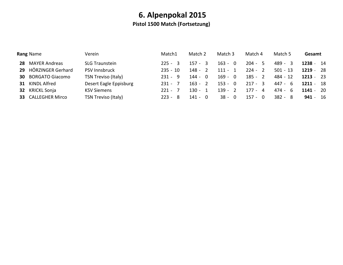### 6. Alpenpokal 2015 Pistol 1500 Match (Fortsetzung)

|    | <b>Rang Name</b>       | Verein                 | Match1     | Match 2   | Match 3   | Match 4   | Match 5    | Gesamt      |
|----|------------------------|------------------------|------------|-----------|-----------|-----------|------------|-------------|
| 28 | <b>MAYER Andreas</b>   | <b>SLG Traunstein</b>  | $225 - 3$  | $157 - 3$ | $163 - 0$ | $204 - 5$ | 489 - 3    | $1238 - 14$ |
| 29 | HÖRZINGER Gerhard      | <b>PSV Innsbruck</b>   | $235 - 10$ | 148 - 2   | $111 - 1$ | $224 - 2$ | $501 - 13$ | $1219 - 28$ |
| 30 | <b>BORGATO Giacomo</b> | TSN Treviso (Italy)    | $231 - 9$  | $144 - 0$ | $169 - 0$ | $185 - 2$ | 484 - 12   | $1213 - 23$ |
| 31 | KINDL Alfred           | Desert Eagle Eppisburg | $231 - 7$  | $163 - 2$ | $153 - 0$ | $217 - 3$ | 447 - 6    | $1211 - 18$ |
| 32 | KRICKL Sonja           | <b>KSV Siemens</b>     | $221 - 7$  | $130 - 1$ | $139 - 2$ | 177 - 4   | $474 - 6$  | $1141 - 20$ |
| 33 | <b>CALLEGHER Mirco</b> | TSN Treviso (Italy)    | $223 - 8$  | $141 - 0$ | $38 - 0$  | $157 - 0$ | $382 - 8$  | $941 - 16$  |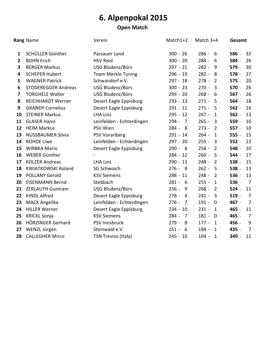### **Open Match**

|                | Rang Name                  | Verein                    | Match1+2                  | Match $3+4$                        | Gesamt                    |
|----------------|----------------------------|---------------------------|---------------------------|------------------------------------|---------------------------|
| 1              | SCHÜLLER Günther           | Passauer Land             | $300 - 26$                | $286 - 6$                          | 32<br>586 -               |
| $\overline{2}$ | <b>BOHN Erich</b>          | <b>HSV Ried</b>           | $300 - 20$                | $284 -$<br>- 6                     | 584 -<br>26               |
| 3              | <b>BERGER Markus</b>       | USG Bludenz/Bürs          | $297 - 21$                | $282 - 9$                          | 30<br>579 -               |
| 4              | <b>SCHEPER Hubert</b>      | <b>Team Merkle Tuning</b> | $296 - 19$                | $282 - 8$                          | 27<br>578 -               |
| 5              | <b>WAGNER Patrick</b>      | Schwandorf e.V.           | $297 - 18$                | $278 -$<br>$\overline{2}$          | 20<br>$575 -$             |
| 6              | <b>STODEREGGER Andreas</b> | USG Bludenz/Bürs          | $300 - 23$                | $270 -$<br>$\overline{3}$          | 570 -<br>26               |
| 7              | <b>TORGHELE Walter</b>     | USG Bludenz/Bürs          | $299 - 20$                | $268 -$<br>6                       | $567 -$<br>26             |
| 8              | <b>REICHHARDT Werner</b>   | Desert Eagle Eppisburg    | $293 - 13$                | $271 - 5$                          | 18<br>564 -               |
| 9              | <b>GRANDY Cornelius</b>    | Desert Eagle Eppisburg    | $291 - 11$                | $271 - 5$                          | 16<br>$562 -$             |
| 10             | <b>STEINER Markus</b>      | <b>LHA Linz</b>           | $295 - 12$                | $267 -$<br>$\mathbf{1}$            | 13<br>$562 -$             |
| 11             | <b>GLASER Hansi</b>        | Leinfelden - Echterdingen | $294 -$<br>$\overline{7}$ | $265 - 3$                          | 10<br>559 -               |
| 12             | <b>HEIM Markus</b>         | PSV Wien                  | $284 - 8$                 | $273 -$<br>$\overline{2}$          | $557 -$<br>10             |
| 13             | <b>NUSSBAUMER Silvia</b>   | <b>PSV Vorarlberg</b>     | $291 - 14$                | $264 -$<br>$\mathbf{1}$            | $555 -$<br>15             |
| 14             | <b>ROHDE Uwe</b>           | Leinfelden - Echterdingen | $297 - 20$                | $255 - 3$                          | 23<br>$552 -$             |
| 15             | <b>WIRBKA Mario</b>        | Desert Eagle Eppisburg    | $290 - 8$                 | $258 -$<br>$\overline{2}$          | 10<br>548 -               |
| 16             | WEBER Günther              |                           | $284 - 12$                | $260 -$<br>- 5                     | 544 -<br>17               |
| 17             | <b>KOLZER Andreas</b>      | <b>LHA Linz</b>           | $290 - 13$                | $248 -$<br>$\overline{2}$          | 15<br>538 -               |
| 18             | <b>KWIATKOWSKI Roland</b>  | <b>SG Schwoich</b>        | $276 - 8$                 | $262 - 5$                          | 538 -<br>13               |
| 19             | <b>POLLANY Gerold</b>      | <b>KSV Siemens</b>        | $288 - 11$                | $248 -$<br>$\overline{2}$          | $536 -$<br>13             |
| 20             | <b>EISENMANN Bernd</b>     | Stebbach                  | $281 - 6$                 | $255 -$<br>$\mathbf{1}$            | 536 -<br>$\overline{7}$   |
| 21             | <b>ZERLAUTH Guntram</b>    | USG Bludenz/Bürs          | $256 -$<br>- 9            | $268 -$<br>$\overline{2}$          | $524 -$<br>11             |
| 22             | <b>KINDL Alfred</b>        | Desert Eagle Eppisburg    | $278 - 4$                 | $241 -$<br>$\overline{\mathbf{3}}$ | $519 -$<br>$\overline{7}$ |
| 23             | <b>MACK Angelika</b>       | Leinfelden - Echterdingen | $276 -$<br>$\overline{7}$ | $191 -$<br>$\overline{0}$          | 467 -<br>$\overline{7}$   |
| 24             | <b>HILLER Werner</b>       | Desert Eagle Eppisburg    | $234 - 10$                | $231 -$<br>1                       | 465 -<br>11               |
| 25             | <b>KRICKL Sonja</b>        | <b>KSV Siemens</b>        | $284 -$<br>$\overline{7}$ | $181 -$<br>$\overline{0}$          | 465 -<br>$\overline{7}$   |
| 26             | HÖRZINGER Gerhard          | PSV Innsbruck             | $279 -$<br>- 8            | $177 - 1$                          | 456 -<br>9                |
| 27             | WENZL Jürgen               | Steinwald e.V.            | $251 -$<br>- 6            | 184 -<br>$\mathbf{1}$              | $\overline{7}$<br>435 -   |
| 28             | <b>CALLEGHER Mirco</b>     | TSN Treviso (Italy)       | $245 - 10$                | $104 -$<br>$\mathbf{1}$            | 349 -<br>11               |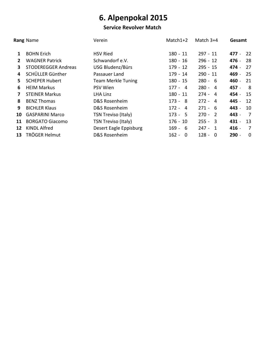#### **Service Revolver Match**

|              | Rang Name                  | Verein                     | $Match1+2$ | Match $3+4$               | Gesamt        |
|--------------|----------------------------|----------------------------|------------|---------------------------|---------------|
| 1            | <b>BOHN Erich</b>          | <b>HSV Ried</b>            | $180 - 11$ | $297 - 11$                | - 22<br>477 - |
| $\mathbf{2}$ | <b>WAGNER Patrick</b>      | Schwandorf e.V.            | $180 - 16$ | $296 - 12$                | 476 -<br>- 28 |
| 3            | <b>STODEREGGER Andreas</b> | USG Bludenz/Bürs           | $179 - 12$ | $295 - 15$                | 474 -<br>27   |
| 4            | SCHÜLLER Günther           | Passauer Land              | $179 - 14$ | $290 - 11$                | 469 -<br>- 25 |
| 5.           | <b>SCHEPER Hubert</b>      | <b>Team Merkle Tuning</b>  | $180 - 15$ | $280 - 6$                 | 460 -<br>21   |
| 6            | <b>HEIM Markus</b>         | <b>PSV Wien</b>            | $177 - 4$  | $280 - 4$                 | 457 -<br>- 8  |
| 7            | <b>STEINER Markus</b>      | LHA Linz                   | $180 - 11$ | $274 - 4$                 | 454 -<br>15   |
| 8            | <b>BENZ Thomas</b>         | D&S Rosenheim              | $173 - 8$  | $272 - 4$                 | 445 -<br>-12  |
| 9            | <b>BICHLER Klaus</b>       | D&S Rosenheim              | $172 - 4$  | $271 - 6$                 | 443 -<br>10   |
| 10           | <b>GASPARINI Marco</b>     | <b>TSN Treviso (Italy)</b> | $173 - 5$  | $270 - 2$                 | 443 -<br>- 7  |
| 11           | <b>BORGATO Giacomo</b>     | <b>TSN Treviso (Italy)</b> | $176 - 10$ | $255 - 3$                 | 431 -<br>13   |
| 12           | <b>KINDL Alfred</b>        | Desert Eagle Eppisburg     | $169 - 6$  | $247 - 1$                 | 416 -<br>7    |
| 13           | TRÖGER Helmut              | D&S Rosenheim              | $162 - 0$  | $128 -$<br>$\overline{0}$ | $290 -$<br>0  |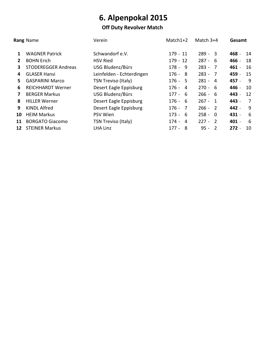### Off Duty Revolver Match

|                         | Rang Name                  | Verein                     | $Match1+2$              | Match $3+4$              | Gesamt        |
|-------------------------|----------------------------|----------------------------|-------------------------|--------------------------|---------------|
| 1                       | <b>WAGNER Patrick</b>      | Schwandorf e.V.            | $179 - 11$              | $289 - 3$                | 468 -<br>14   |
| $\mathbf{2}$            | <b>BOHN Erich</b>          | <b>HSV Ried</b>            | $179 - 12$              | $287 - 6$                | 466 -<br>18   |
| 3                       | <b>STODEREGGER Andreas</b> | USG Bludenz/Bürs           | $178 - 9$               | $283 - 7$                | 461 -<br>16   |
| 4                       | <b>GLASER Hansi</b>        | Leinfelden - Echterdingen  | $176 - 8$               | $283 - 7$                | 459 -<br>15   |
| 5.                      | <b>GASPARINI Marco</b>     | <b>TSN Treviso (Italy)</b> | $176 - 5$               | $281 - 4$                | 457 -<br>9    |
| 6                       | <b>REICHHARDT Werner</b>   | Desert Eagle Eppisburg     | $176 - 4$               | $270 - 6$                | 446 -<br>10   |
| $\overline{\mathbf{z}}$ | <b>BERGER Markus</b>       | USG Bludenz/Bürs           | $177 - 6$               | $266 - 6$                | 443 -<br>12   |
| 8                       | <b>HILLER Werner</b>       | Desert Eagle Eppisburg     | $176 - 6$               | $267 - 1$                | 443 -<br>7    |
| 9                       | <b>KINDL Alfred</b>        | Desert Eagle Eppisburg     | $176 - 7$               | $266 - 2$                | 442 -<br>9    |
| 10                      | <b>HEIM Markus</b>         | PSV Wien                   | $173 - 6$               | $258 -$<br>- 0           | 431 -<br>6    |
| 11                      | <b>BORGATO Giacomo</b>     | <b>TSN Treviso (Italy)</b> | 174 -<br>$\overline{4}$ | $227 - 2$                | 401 -<br>6    |
| 12                      | <b>STEINER Markus</b>      | <b>LHA Linz</b>            | $177 - 8$               | $95 -$<br>$\overline{2}$ | $272 -$<br>10 |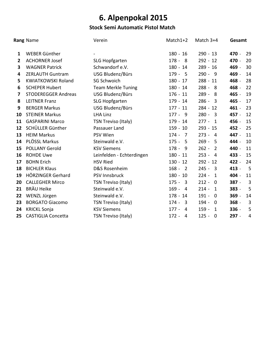### **Stock Semi Automatic Pistol Match**

|              | Rang Name                  | Verein                    | Match1+2                           | Match 3+4                          | Gesamt                    |
|--------------|----------------------------|---------------------------|------------------------------------|------------------------------------|---------------------------|
| 1            | WEBER Günther              |                           | $180 - 16$                         | $290 - 13$                         | 470 -<br>29               |
| $\mathbf{2}$ | <b>ACHORNER Josef</b>      | <b>SLG Hopfgarten</b>     | $178 - 8$                          | $292 - 12$                         | 470 -<br>20               |
| 3            | <b>WAGNER Patrick</b>      | Schwandorf e.V.           | $180 - 14$                         | $289 - 16$                         | 469 -<br>30               |
| 4            | <b>ZERLAUTH Guntram</b>    | USG Bludenz/Bürs          | $179 - 5$                          | $290 - 9$                          | 469 -<br>14               |
| 5            | <b>KWIATKOWSKI Roland</b>  | <b>SG Schwoich</b>        | $180 - 17$                         | $288 - 11$                         | 468 -<br>28               |
| 6            | <b>SCHEPER Hubert</b>      | <b>Team Merkle Tuning</b> | $180 - 14$                         | $288 - 8$                          | 22<br>468 -               |
| 7            | <b>STODEREGGER Andreas</b> | USG Bludenz/Bürs          | $176 - 11$                         | 289 -<br>8                         | 465 -<br>19               |
| 8            | <b>LEITNER Franz</b>       | <b>SLG Hopfgarten</b>     | $179 - 14$                         | $286 - 3$                          | 465 -<br>17               |
| 9            | <b>BERGER Markus</b>       | USG Bludenz/Bürs          | $177 - 11$                         | $284 - 12$                         | 23<br>461 -               |
| 10           | <b>STEINER Markus</b>      | <b>LHA Linz</b>           | $177 - 9$                          | $280 - 3$                          | 12<br>457 -               |
| 11           | <b>GASPARINI Marco</b>     | TSN Treviso (Italy)       | $179 - 14$                         | $277 -$<br>$\overline{1}$          | 456 -<br>15               |
| 12           | SCHÜLLER Günther           | Passauer Land             | $159 - 10$                         | $293 - 15$                         | 452 -<br>25               |
| 13           | <b>HEIM Markus</b>         | PSV Wien                  | $174 -$<br>7                       | $273 -$<br>$\overline{4}$          | 447 -<br>11               |
| 14           | PLÖSSL Markus              | Steinwald e.V.            | $175 - 5$                          | $269 - 5$                          | 10<br>444 -               |
| 15           | <b>POLLANY Gerold</b>      | <b>KSV Siemens</b>        | $178 - 9$                          | $262 -$<br>$\overline{2}$          | 440 -<br>11               |
| 16           | <b>ROHDE Uwe</b>           | Leinfelden - Echterdingen | $180 - 11$                         | $253 - 4$                          | 433 -<br>15               |
| 17           | <b>BOHN Erich</b>          | <b>HSV Ried</b>           | $130 - 12$                         | $292 - 12$                         | 422 -<br>24               |
| 18           | <b>BICHLER Klaus</b>       | D&S Rosenheim             | $168 - 2$                          | $245 - 3$                          | 413 -<br>5                |
| 19           | HÖRZINGER Gerhard          | PSV Innsbruck             | $180 - 10$                         | $224 -$<br>$\mathbf{1}$            | 404 -<br>11               |
| 20           | <b>CALLEGHER Mirco</b>     | TSN Treviso (Italy)       | $175 - 3$                          | $212 - 0$                          | 387 -<br>3                |
| 21           | <b>BRÄU Heike</b>          | Steinwald e.V.            | $169 -$<br>$\overline{4}$          | $214 -$<br>$\mathbf{1}$            | 5<br>383 -                |
| 22           | WENZL Jürgen               | Steinwald e.V.            | $178 - 14$                         | $191 -$<br>$\overline{\mathbf{0}}$ | $369 -$<br>14             |
| 23           | <b>BORGATO Giacomo</b>     | TSN Treviso (Italy)       | $174 -$<br>$\overline{\mathbf{3}}$ | $194 -$<br>$\overline{0}$          | $\overline{3}$<br>$368 -$ |
| 24           | <b>KRICKL Sonja</b>        | <b>KSV Siemens</b>        | $177 -$<br>$\overline{4}$          | $159 -$<br>$\mathbf{1}$            | 336 -<br>5                |
| 25           | <b>CASTIGLIA Concetta</b>  | TSN Treviso (Italy)       | $172 -$<br>$\overline{4}$          | $125 -$<br>$\mathbf 0$             | 297 -<br>4                |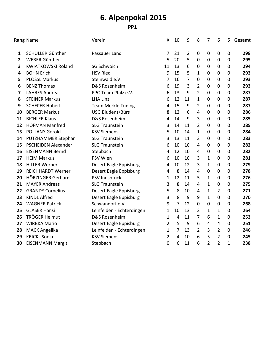|                | <b>Rang Name</b>           | Verein                    | X              |                         | 9              | 8              | 7              | 6                | 5                | Gesamt |
|----------------|----------------------------|---------------------------|----------------|-------------------------|----------------|----------------|----------------|------------------|------------------|--------|
| 1              | SCHÜLLER Günther           | Passauer Land             | 7              | 21                      | $\overline{2}$ | $\mathbf 0$    | $\mathbf 0$    | $\mathbf 0$      | $\overline{0}$   | 298    |
| $\overline{2}$ | WEBER Günther              |                           | 5              | 20                      | 5              | $\mathbf 0$    | $\mathbf 0$    | $\mathbf 0$      | $\mathbf 0$      | 295    |
| 3              | <b>KWIATKOWSKI Roland</b>  | <b>SG Schwoich</b>        | 11             | 13                      | 6              | $\mathbf 0$    | $\mathbf 0$    | $\mathbf 0$      | $\boldsymbol{0}$ | 294    |
| 4              | <b>BOHN Erich</b>          | <b>HSV Ried</b>           | 9              | 15                      | 5              | $\mathbf{1}$   | $\mathbf 0$    | $\mathbf 0$      | 0                | 293    |
| 5              | PLÖSSL Markus              | Steinwald e.V.            | 7              | 16                      | $\overline{7}$ | $\mathbf 0$    | $\mathbf 0$    | $\overline{0}$   | $\overline{0}$   | 293    |
| 6              | <b>BENZ Thomas</b>         | D&S Rosenheim             | 6              | 19                      | 3              | $\overline{2}$ | $\mathbf 0$    | $\mathbf 0$      | $\mathbf 0$      | 293    |
| 7              | <b>LAHRES Andreas</b>      | PPC-Team Pfalz e.V.       | 6              | 13                      | 9              | $\overline{2}$ | $\mathbf 0$    | $\mathbf 0$      | $\mathbf 0$      | 287    |
| 8              | <b>STEINER Markus</b>      | <b>LHA Linz</b>           | 6              | 12                      | 11             | $\mathbf{1}$   | $\mathbf 0$    | $\mathbf 0$      | $\boldsymbol{0}$ | 287    |
| 9              | <b>SCHEPER Hubert</b>      | <b>Team Merkle Tuning</b> | 4              | 15                      | 9              | $\overline{2}$ | $\mathbf 0$    | $\mathbf 0$      | $\boldsymbol{0}$ | 287    |
| 10             | <b>BERGER Markus</b>       | USG Bludenz/Bürs          | 8              | 12                      | 6              | $\overline{4}$ | $\mathbf 0$    | $\boldsymbol{0}$ | $\boldsymbol{0}$ | 286    |
| 11             | <b>BICHLER Klaus</b>       | D&S Rosenheim             | 4              | 14                      | 9              | 3              | $\mathbf 0$    | $\overline{0}$   | $\mathbf 0$      | 285    |
| 12             | <b>HOFMAN Manfred</b>      | <b>SLG Traunstein</b>     | 3              | 14                      | 11             | $\overline{2}$ | $\mathbf 0$    | $\mathbf 0$      | $\mathbf 0$      | 285    |
| 13             | <b>POLLANY Gerold</b>      | <b>KSV Siemens</b>        | 5              | 10                      | 14             | $\mathbf{1}$   | $\mathbf 0$    | $\boldsymbol{0}$ | $\boldsymbol{0}$ | 284    |
| 14             | PUTZHAMMER Stephan         | <b>SLG Traunstein</b>     | 3              | 13                      | 11             | 3              | $\mathbf 0$    | 0                | $\mathbf 0$      | 283    |
| 15             | <b>PSCHEIDEN Alexander</b> | <b>SLG Traunstein</b>     | 6              | 10                      | 10             | 4              | $\mathbf 0$    | $\mathbf 0$      | $\boldsymbol{0}$ | 282    |
| 16             | <b>EISENMANN Bernd</b>     | Stebbach                  | 4              | 12                      | 10             | $\overline{4}$ | 0              | $\mathbf 0$      | $\mathbf 0$      | 282    |
| 17             | <b>HEIM Markus</b>         | PSV Wien                  | 6              | 10                      | 10             | 3              | 1              | $\mathbf 0$      | $\mathbf 0$      | 281    |
| 18             | <b>HILLER Werner</b>       | Desert Eagle Eppisburg    | 4              | 10                      | 12             | 3              | 1              | $\mathbf 0$      | $\mathbf 0$      | 279    |
| 19             | <b>REICHHARDT Werner</b>   | Desert Eagle Eppisburg    | $\overline{4}$ | 8                       | 14             | $\overline{4}$ | 0              | $\mathbf 0$      | $\boldsymbol{0}$ | 278    |
| 20             | HÖRZINGER Gerhard          | PSV Innsbruck             | 1              | 12                      | 11             | 5              | $\mathbf{1}$   | $\mathbf 0$      | $\boldsymbol{0}$ | 276    |
| 21             | <b>MAYER Andreas</b>       | <b>SLG Traunstein</b>     | 3              | 8                       | 14             | 4              | 1              | $\mathbf 0$      | $\boldsymbol{0}$ | 275    |
| 22             | <b>GRANDY Cornelius</b>    | Desert Eagle Eppisburg    | 5              | 8                       | 10             | $\overline{4}$ | $\mathbf{1}$   | $\overline{2}$   | $\mathbf 0$      | 271    |
| 23             | <b>KINDL Alfred</b>        | Desert Eagle Eppisburg    | 3              | 8                       | 9              | 9              | $\mathbf{1}$   | $\overline{0}$   | $\mathbf 0$      | 270    |
| 24             | <b>WAGNER Patrick</b>      | Schwandorf e.V.           | 9              | $\overline{7}$          | 12             | $\mathbf 0$    | 0              | $\mathbf 0$      | 0                | 268    |
| 25             | <b>GLASER Hansi</b>        | Leinfelden - Echterdingen | 1              | 10                      | 13             | 3              | $\mathbf{1}$   | $\mathbf{1}$     | $\boldsymbol{0}$ | 264    |
| 26             | TRÖGER Helmut              | D&S Rosenheim             | $\mathbf{1}$   | $\overline{\mathbf{4}}$ | 11             | $\overline{7}$ | 6              | $\mathbf{1}$     | $\boldsymbol{0}$ | 253    |
| 27             | <b>WIRBKA Mario</b>        | Desert Eagle Eppisburg    | 2              | 5                       | 9              | 6              | 4              | $\overline{4}$   | 0                | 251    |
| 28             | <b>MACK Angelika</b>       | Leinfelden - Echterdingen | 1              | $\overline{7}$          | 13             | $\overline{2}$ | 3              | $\overline{2}$   | $\mathbf 0$      | 246    |
| 29             | <b>KRICKL Sonja</b>        | <b>KSV Siemens</b>        | 2              | 4                       | 10             | 6              | 5              | $\overline{2}$   | $\mathbf 0$      | 245    |
| 30             | <b>EISENMANN Margit</b>    | Stebbach                  | 0              | 6                       | 11             | 6              | $\overline{2}$ | $\overline{2}$   | $\mathbf{1}$     | 238    |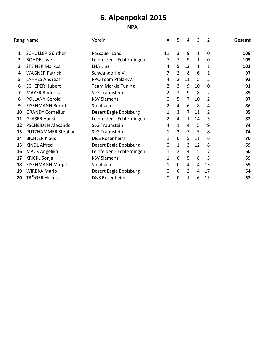### **NPA**

|    | Rang Name                  | Verein                    | X              | 5              | 4  | 3  | $\overline{2}$ | Gesamt |
|----|----------------------------|---------------------------|----------------|----------------|----|----|----------------|--------|
| 1  | SCHÜLLER Günther           | Passauer Land             | 11             | $\overline{3}$ | 9  | 1  | $\Omega$       | 109    |
| 2  | <b>ROHDE Uwe</b>           | Leinfelden - Echterdingen | 7              | $\overline{7}$ | 9  | 1  | $\mathbf 0$    | 109    |
| 3  | <b>STEINER Markus</b>      | LHA Linz                  | 4              | 5              | 13 | 1  | 1              | 102    |
| 4  | <b>WAGNER Patrick</b>      | Schwandorf e.V.           | 7              | $\overline{2}$ | 8  | 6  | 1              | 97     |
| 5  | <b>LAHRES Andreas</b>      | PPC-Team Pfalz e.V.       | 4              | $\overline{2}$ | 11 | 5  | 2              | 93     |
| 6  | <b>SCHEPER Hubert</b>      | <b>Team Merkle Tuning</b> | 2              | 3              | 9  | 10 | $\mathbf{0}$   | 91     |
| 7  | <b>MAYER Andreas</b>       | <b>SLG Traunstein</b>     | 2              | $\overline{3}$ | 9  | 8  | 2              | 89     |
| 8  | <b>POLLANY Gerold</b>      | <b>KSV Siemens</b>        | 0              | 5              | 7  | 10 | 2              | 87     |
| 9  | <b>EISENMANN Bernd</b>     | Stebbach                  | 2              | 4              | 6  | 8  | 4              | 86     |
| 10 | <b>GRANDY Cornelius</b>    | Desert Eagle Eppisburg    | 1              | 3              | 7  | 11 | 2              | 85     |
| 11 | <b>GLASER Hansi</b>        | Leinfelden - Echterdingen | $\overline{2}$ | 4              | 1  | 14 | 3              | 82     |
| 12 | <b>PSCHEIDEN Alexander</b> | <b>SLG Traunstein</b>     | 4              | $\mathbf{1}$   | 4  | 5  | 9              | 74     |
| 13 | PUTZHAMMER Stephan         | <b>SLG Traunstein</b>     | 1              | $\overline{2}$ | 7  | 5  | 8              | 74     |
| 14 | <b>BICHLER Klaus</b>       | D&S Rosenheim             | 1              | $\mathbf 0$    | 5  | 11 | 6              | 70     |
| 15 | <b>KINDL Alfred</b>        | Desert Eagle Eppisburg    | 0              | 1              | 3  | 12 | 8              | 69     |
| 16 | <b>MACK Angelika</b>       | Leinfelden - Echterdingen | 1              | 2              | 4  | 5  | 7              | 60     |
| 17 | <b>KRICKL Sonja</b>        | <b>KSV Siemens</b>        | 1              | $\mathbf{0}$   | 5  | 8  | 5              | 59     |
| 18 | <b>EISENMANN Margit</b>    | Stebbach                  | 1              | $\overline{0}$ | 4  | 4  | 13             | 59     |
| 19 | <b>WIRBKA Mario</b>        | Desert Eagle Eppisburg    | 0              | $\mathbf 0$    | 2  | 4  | 17             | 54     |
| 20 | TRÖGER Helmut              | D&S Rosenheim             | 0              | 0              | 1  | 6  | 15             | 52     |